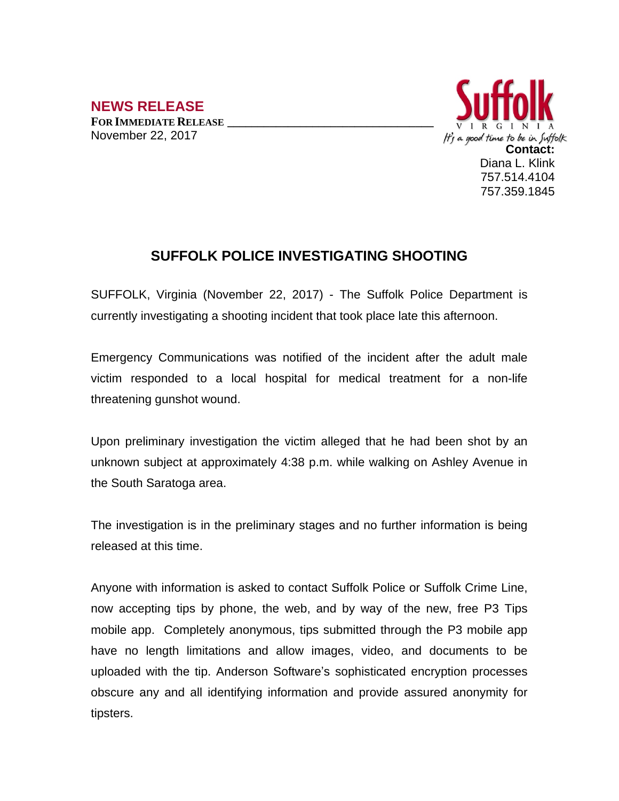

## **SUFFOLK POLICE INVESTIGATING SHOOTING**

SUFFOLK, Virginia (November 22, 2017) - The Suffolk Police Department is currently investigating a shooting incident that took place late this afternoon.

Emergency Communications was notified of the incident after the adult male victim responded to a local hospital for medical treatment for a non-life threatening gunshot wound.

Upon preliminary investigation the victim alleged that he had been shot by an unknown subject at approximately 4:38 p.m. while walking on Ashley Avenue in the South Saratoga area.

The investigation is in the preliminary stages and no further information is being released at this time.

Anyone with information is asked to contact Suffolk Police or Suffolk Crime Line, now accepting tips by phone, the web, and by way of the new, free P3 Tips mobile app. Completely anonymous, tips submitted through the P3 mobile app have no length limitations and allow images, video, and documents to be uploaded with the tip. Anderson Software's sophisticated encryption processes obscure any and all identifying information and provide assured anonymity for tipsters.